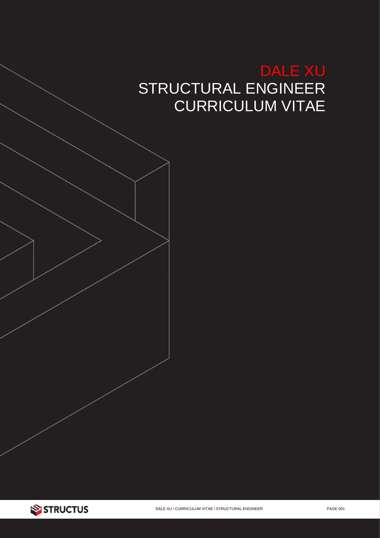# **DALE XU** STRUCTURAL ENGINEER **CURRICULUM VITAE**

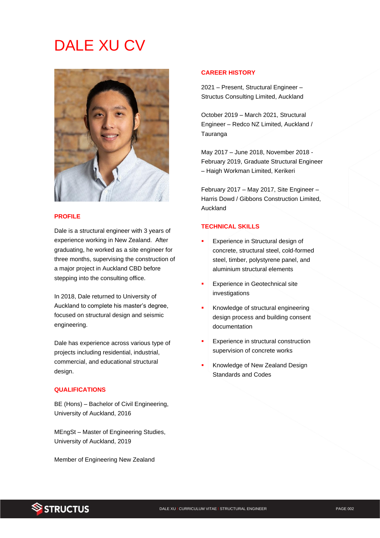# DALE XU CV



## **PROFILE**

Dale is a structural engineer with 3 years of experience working in New Zealand. After graduating, he worked as a site engineer for three months, supervising the construction of a major project in Auckland CBD before stepping into the consulting office.

In 2018, Dale returned to University of Auckland to complete his master's degree, focused on structural design and seismic engineering.

Dale has experience across various type of projects including residential, industrial, commercial, and educational structural design.

## **QUALIFICATIONS**

BE (Hons) – Bachelor of Civil Engineering, University of Auckland, 2016

MEngSt – Master of Engineering Studies, University of Auckland, 2019

Member of Engineering New Zealand

### **CAREER HISTORY**

2021 – Present, Structural Engineer – Structus Consulting Limited, Auckland

October 2019 – March 2021, Structural Engineer – Redco NZ Limited, Auckland / Tauranga

May 2017 – June 2018, November 2018 - February 2019, Graduate Structural Engineer – Haigh Workman Limited, Kerikeri

February 2017 – May 2017, Site Engineer – Harris Dowd / Gibbons Construction Limited, Auckland

## **TECHNICAL SKILLS**

- Experience in Structural design of concrete, structural steel, cold-formed steel, timber, polystyrene panel, and aluminium structural elements
- **Experience in Geotechnical site** investigations
- Knowledge of structural engineering design process and building consent documentation
- **Experience in structural construction** supervision of concrete works
- Knowledge of New Zealand Design Standards and Codes

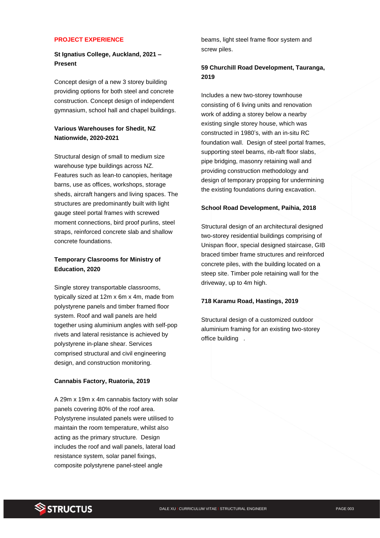#### **PROJECT EXPERIENCE**

# **St Ignatius College, Auckland, 2021 – Present**

Concept design of a new 3 storey building providing options for both steel and concrete construction. Concept design of independent gymnasium, school hall and chapel buildings.

## **Various Warehouses for Shedit, NZ Nationwide, 2020-2021**

Structural design of small to medium size warehouse type buildings across NZ. Features such as lean-to canopies, heritage barns, use as offices, workshops, storage sheds, aircraft hangers and living spaces. The structures are predominantly built with light gauge steel portal frames with screwed moment connections, bird proof purlins, steel straps, reinforced concrete slab and shallow concrete foundations.

# **Temporary Clasrooms for Ministry of Education, 2020**

Single storey transportable classrooms, typically sized at 12m x 6m x 4m, made from polystyrene panels and timber framed floor system. Roof and wall panels are held together using aluminium angles with self-pop rivets and lateral resistance is achieved by polystyrene in-plane shear. Services comprised structural and civil engineering design, and construction monitoring.

#### **Cannabis Factory, Ruatoria, 2019**

A 29m x 19m x 4m cannabis factory with solar panels covering 80% of the roof area. Polystyrene insulated panels were utilised to maintain the room temperature, whilst also acting as the primary structure. Design includes the roof and wall panels, lateral load resistance system, solar panel fixings, composite polystyrene panel-steel angle

beams, light steel frame floor system and screw piles.

## **59 Churchill Road Development, Tauranga, 2019**

Includes a new two-storey townhouse consisting of 6 living units and renovation work of adding a storey below a nearby existing single storey house, which was constructed in 1980's, with an in-situ RC foundation wall. Design of steel portal frames, supporting steel beams, rib-raft floor slabs, pipe bridging, masonry retaining wall and providing construction methodology and design of temporary propping for undermining the existing foundations during excavation.

#### **School Road Development, Paihia, 2018**

Structural design of an architectural designed two-storey residential buildings comprising of Unispan floor, special designed staircase, GIB braced timber frame structures and reinforced concrete piles, with the building located on a steep site. Timber pole retaining wall for the driveway, up to 4m high.

#### **718 Karamu Road, Hastings, 2019**

Structural design of a customized outdoor aluminium framing for an existing two-storey office building .